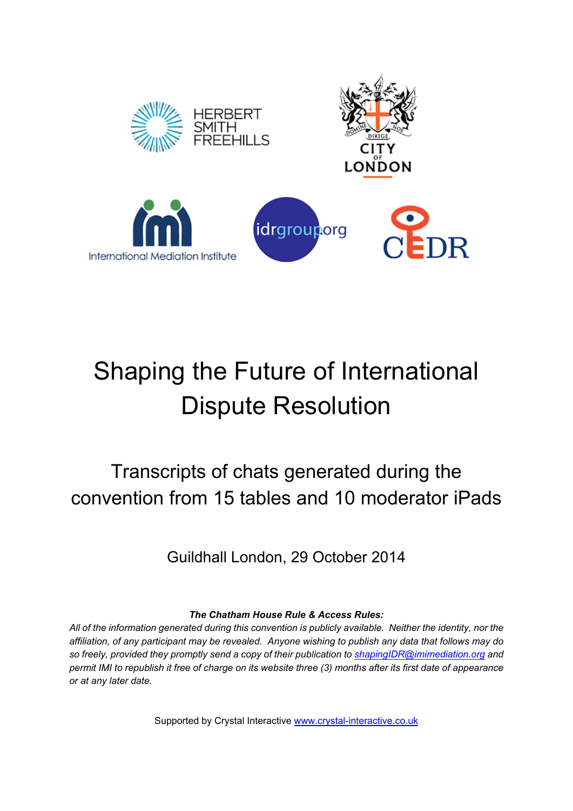

# Shaping the Future of International Dispute Resolution

Transcripts of chats generated during the convention from 15 tables and 10 moderator iPads

Guildhall London, 29 October 2014

*The Chatham House Rule & Access Rules:* 

*All of the information generated during this convention is publicly available. Neither the identity, nor the affiliation, of any participant may be revealed. Anyone wishing to publish any data that follows may do so freely, provided they promptly send a copy of their publication to shapingIDR@imimediation.org and permit IMI to republish it free of charge on its website three (3) months after its first date of appearance or at any later date.* 

Supported by Crystal Interactive www.crystal-interactive.co.uk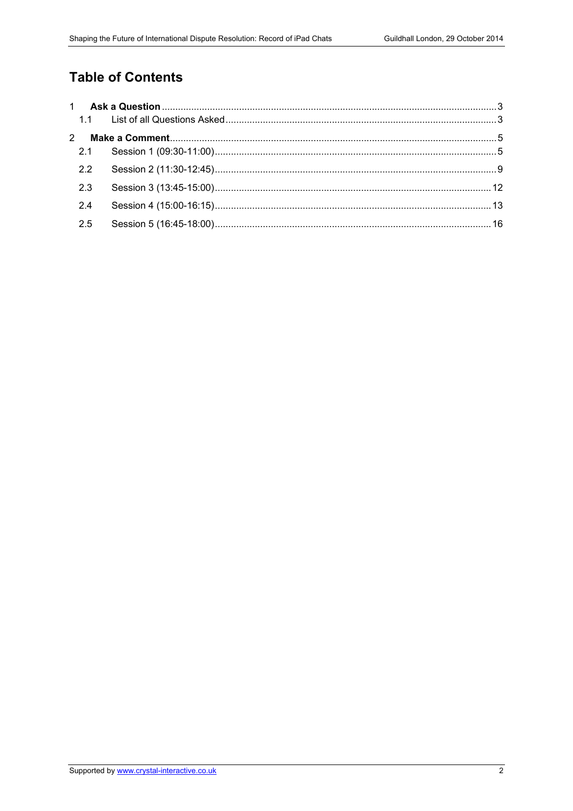## **Table of Contents**

| $\mathbf{2}$ |  |
|--------------|--|
| 2.1          |  |
| 2.2          |  |
| 2.3          |  |
| 2.4          |  |
| 2.5          |  |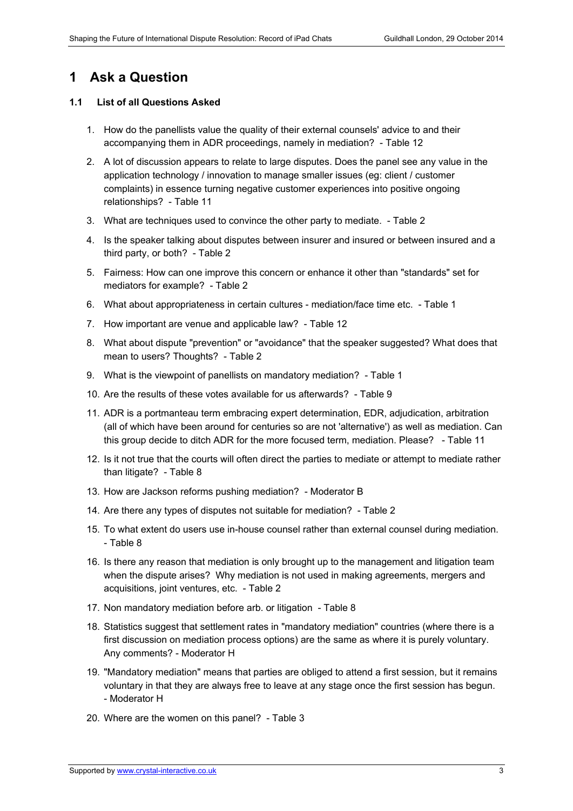## **1 Ask a Question**

#### **1.1 List of all Questions Asked**

- 1. How do the panellists value the quality of their external counsels' advice to and their accompanying them in ADR proceedings, namely in mediation? - Table 12
- 2. A lot of discussion appears to relate to large disputes. Does the panel see any value in the application technology / innovation to manage smaller issues (eg: client / customer complaints) in essence turning negative customer experiences into positive ongoing relationships? - Table 11
- 3. What are techniques used to convince the other party to mediate. Table 2
- 4. Is the speaker talking about disputes between insurer and insured or between insured and a third party, or both? - Table 2
- 5. Fairness: How can one improve this concern or enhance it other than "standards" set for mediators for example? - Table 2
- 6. What about appropriateness in certain cultures mediation/face time etc. Table 1
- 7. How important are venue and applicable law? Table 12
- 8. What about dispute "prevention" or "avoidance" that the speaker suggested? What does that mean to users? Thoughts? - Table 2
- 9. What is the viewpoint of panellists on mandatory mediation? Table 1
- 10. Are the results of these votes available for us afterwards? Table 9
- 11. ADR is a portmanteau term embracing expert determination, EDR, adjudication, arbitration (all of which have been around for centuries so are not 'alternative') as well as mediation. Can this group decide to ditch ADR for the more focused term, mediation. Please? - Table 11
- 12. Is it not true that the courts will often direct the parties to mediate or attempt to mediate rather than litigate? - Table 8
- 13. How are Jackson reforms pushing mediation? Moderator B
- 14. Are there any types of disputes not suitable for mediation? Table 2
- 15. To what extent do users use in-house counsel rather than external counsel during mediation. - Table 8
- 16. Is there any reason that mediation is only brought up to the management and litigation team when the dispute arises? Why mediation is not used in making agreements, mergers and acquisitions, joint ventures, etc. - Table 2
- 17. Non mandatory mediation before arb. or litigation Table 8
- 18. Statistics suggest that settlement rates in "mandatory mediation" countries (where there is a first discussion on mediation process options) are the same as where it is purely voluntary. Any comments? - Moderator H
- 19. "Mandatory mediation" means that parties are obliged to attend a first session, but it remains voluntary in that they are always free to leave at any stage once the first session has begun. - Moderator H
- 20. Where are the women on this panel? Table 3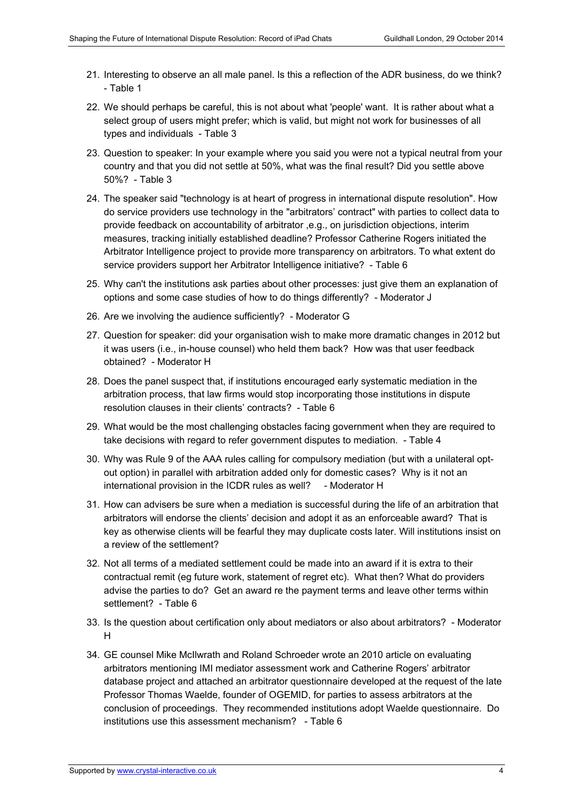- 21. Interesting to observe an all male panel. Is this a reflection of the ADR business, do we think? - Table 1
- 22. We should perhaps be careful, this is not about what 'people' want. It is rather about what a select group of users might prefer; which is valid, but might not work for businesses of all types and individuals - Table 3
- 23. Question to speaker: In your example where you said you were not a typical neutral from your country and that you did not settle at 50%, what was the final result? Did you settle above 50%? - Table 3
- 24. The speaker said "technology is at heart of progress in international dispute resolution". How do service providers use technology in the "arbitrators' contract" with parties to collect data to provide feedback on accountability of arbitrator ,e.g., on jurisdiction objections, interim measures, tracking initially established deadline? Professor Catherine Rogers initiated the Arbitrator Intelligence project to provide more transparency on arbitrators. To what extent do service providers support her Arbitrator Intelligence initiative? - Table 6
- 25. Why can't the institutions ask parties about other processes: just give them an explanation of options and some case studies of how to do things differently? - Moderator J
- 26. Are we involving the audience sufficiently? Moderator G
- 27. Question for speaker: did your organisation wish to make more dramatic changes in 2012 but it was users (i.e., in-house counsel) who held them back? How was that user feedback obtained? - Moderator H
- 28. Does the panel suspect that, if institutions encouraged early systematic mediation in the arbitration process, that law firms would stop incorporating those institutions in dispute resolution clauses in their clients' contracts? - Table 6
- 29. What would be the most challenging obstacles facing government when they are required to take decisions with regard to refer government disputes to mediation. - Table 4
- 30. Why was Rule 9 of the AAA rules calling for compulsory mediation (but with a unilateral optout option) in parallel with arbitration added only for domestic cases? Why is it not an international provision in the ICDR rules as well? - Moderator H
- 31. How can advisers be sure when a mediation is successful during the life of an arbitration that arbitrators will endorse the clients' decision and adopt it as an enforceable award? That is key as otherwise clients will be fearful they may duplicate costs later. Will institutions insist on a review of the settlement?
- 32. Not all terms of a mediated settlement could be made into an award if it is extra to their contractual remit (eg future work, statement of regret etc). What then? What do providers advise the parties to do? Get an award re the payment terms and leave other terms within settlement? - Table 6
- 33. Is the question about certification only about mediators or also about arbitrators? Moderator H
- 34. GE counsel Mike McIlwrath and Roland Schroeder wrote an 2010 article on evaluating arbitrators mentioning IMI mediator assessment work and Catherine Rogers' arbitrator database project and attached an arbitrator questionnaire developed at the request of the late Professor Thomas Waelde, founder of OGEMID, for parties to assess arbitrators at the conclusion of proceedings. They recommended institutions adopt Waelde questionnaire. Do institutions use this assessment mechanism? - Table 6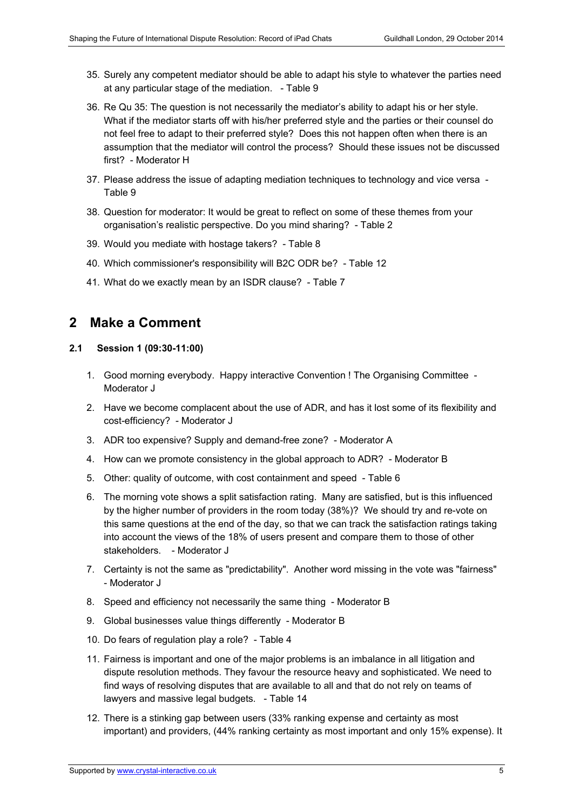- 35. Surely any competent mediator should be able to adapt his style to whatever the parties need at any particular stage of the mediation. - Table 9
- 36. Re Qu 35: The question is not necessarily the mediator's ability to adapt his or her style. What if the mediator starts off with his/her preferred style and the parties or their counsel do not feel free to adapt to their preferred style? Does this not happen often when there is an assumption that the mediator will control the process? Should these issues not be discussed first? - Moderator H
- 37. Please address the issue of adapting mediation techniques to technology and vice versa Table 9
- 38. Question for moderator: It would be great to reflect on some of these themes from your organisation's realistic perspective. Do you mind sharing? - Table 2
- 39. Would you mediate with hostage takers? Table 8
- 40. Which commissioner's responsibility will B2C ODR be? Table 12
- 41. What do we exactly mean by an ISDR clause? Table 7

### **2 Make a Comment**

#### **2.1 Session 1 (09:30-11:00)**

- 1. Good morning everybody. Happy interactive Convention ! The Organising Committee Moderator J
- 2. Have we become complacent about the use of ADR, and has it lost some of its flexibility and cost-efficiency? - Moderator J
- 3. ADR too expensive? Supply and demand-free zone? Moderator A
- 4. How can we promote consistency in the global approach to ADR? Moderator B
- 5. Other: quality of outcome, with cost containment and speed Table 6
- 6. The morning vote shows a split satisfaction rating. Many are satisfied, but is this influenced by the higher number of providers in the room today (38%)? We should try and re-vote on this same questions at the end of the day, so that we can track the satisfaction ratings taking into account the views of the 18% of users present and compare them to those of other stakeholders. - Moderator J
- 7. Certainty is not the same as "predictability". Another word missing in the vote was "fairness" - Moderator J
- 8. Speed and efficiency not necessarily the same thing Moderator B
- 9. Global businesses value things differently Moderator B
- 10. Do fears of regulation play a role? Table 4
- 11. Fairness is important and one of the major problems is an imbalance in all litigation and dispute resolution methods. They favour the resource heavy and sophisticated. We need to find ways of resolving disputes that are available to all and that do not rely on teams of lawyers and massive legal budgets. - Table 14
- 12. There is a stinking gap between users (33% ranking expense and certainty as most important) and providers, (44% ranking certainty as most important and only 15% expense). It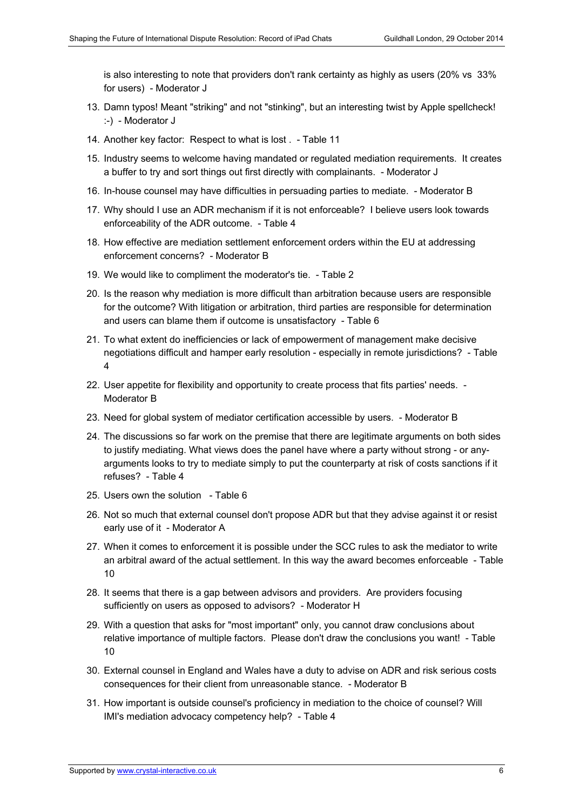is also interesting to note that providers don't rank certainty as highly as users (20% vs 33% for users) - Moderator J

- 13. Damn typos! Meant "striking" and not "stinking", but an interesting twist by Apple spellcheck! :-) - Moderator J
- 14. Another key factor: Respect to what is lost . Table 11
- 15. Industry seems to welcome having mandated or regulated mediation requirements. It creates a buffer to try and sort things out first directly with complainants. - Moderator J
- 16. In-house counsel may have difficulties in persuading parties to mediate. Moderator B
- 17. Why should I use an ADR mechanism if it is not enforceable? I believe users look towards enforceability of the ADR outcome. - Table 4
- 18. How effective are mediation settlement enforcement orders within the EU at addressing enforcement concerns? - Moderator B
- 19. We would like to compliment the moderator's tie. Table 2
- 20. Is the reason why mediation is more difficult than arbitration because users are responsible for the outcome? With litigation or arbitration, third parties are responsible for determination and users can blame them if outcome is unsatisfactory - Table 6
- 21. To what extent do inefficiencies or lack of empowerment of management make decisive negotiations difficult and hamper early resolution - especially in remote jurisdictions? - Table 4
- 22. User appetite for flexibility and opportunity to create process that fits parties' needs. Moderator B
- 23. Need for global system of mediator certification accessible by users. Moderator B
- 24. The discussions so far work on the premise that there are legitimate arguments on both sides to justify mediating. What views does the panel have where a party without strong - or anyarguments looks to try to mediate simply to put the counterparty at risk of costs sanctions if it refuses? - Table 4
- 25. Users own the solution Table 6
- 26. Not so much that external counsel don't propose ADR but that they advise against it or resist early use of it - Moderator A
- 27. When it comes to enforcement it is possible under the SCC rules to ask the mediator to write an arbitral award of the actual settlement. In this way the award becomes enforceable - Table 10
- 28. It seems that there is a gap between advisors and providers. Are providers focusing sufficiently on users as opposed to advisors? - Moderator H
- 29. With a question that asks for "most important" only, you cannot draw conclusions about relative importance of multiple factors. Please don't draw the conclusions you want! - Table 10
- 30. External counsel in England and Wales have a duty to advise on ADR and risk serious costs consequences for their client from unreasonable stance. - Moderator B
- 31. How important is outside counsel's proficiency in mediation to the choice of counsel? Will IMI's mediation advocacy competency help? - Table 4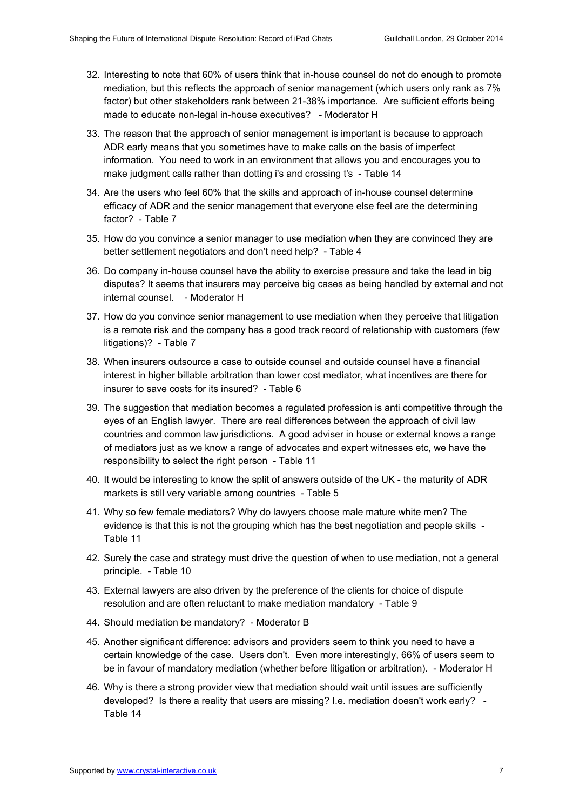- 32. Interesting to note that 60% of users think that in-house counsel do not do enough to promote mediation, but this reflects the approach of senior management (which users only rank as 7% factor) but other stakeholders rank between 21-38% importance. Are sufficient efforts being made to educate non-legal in-house executives? - Moderator H
- 33. The reason that the approach of senior management is important is because to approach ADR early means that you sometimes have to make calls on the basis of imperfect information. You need to work in an environment that allows you and encourages you to make judgment calls rather than dotting i's and crossing t's - Table 14
- 34. Are the users who feel 60% that the skills and approach of in-house counsel determine efficacy of ADR and the senior management that everyone else feel are the determining factor? - Table 7
- 35. How do you convince a senior manager to use mediation when they are convinced they are better settlement negotiators and don't need help? - Table 4
- 36. Do company in-house counsel have the ability to exercise pressure and take the lead in big disputes? It seems that insurers may perceive big cases as being handled by external and not internal counsel. - Moderator H
- 37. How do you convince senior management to use mediation when they perceive that litigation is a remote risk and the company has a good track record of relationship with customers (few litigations)? - Table 7
- 38. When insurers outsource a case to outside counsel and outside counsel have a financial interest in higher billable arbitration than lower cost mediator, what incentives are there for insurer to save costs for its insured? - Table 6
- 39. The suggestion that mediation becomes a regulated profession is anti competitive through the eyes of an English lawyer. There are real differences between the approach of civil law countries and common law jurisdictions. A good adviser in house or external knows a range of mediators just as we know a range of advocates and expert witnesses etc, we have the responsibility to select the right person - Table 11
- 40. It would be interesting to know the split of answers outside of the UK the maturity of ADR markets is still very variable among countries - Table 5
- 41. Why so few female mediators? Why do lawyers choose male mature white men? The evidence is that this is not the grouping which has the best negotiation and people skills - Table 11
- 42. Surely the case and strategy must drive the question of when to use mediation, not a general principle. - Table 10
- 43. External lawyers are also driven by the preference of the clients for choice of dispute resolution and are often reluctant to make mediation mandatory - Table 9
- 44. Should mediation be mandatory? Moderator B
- 45. Another significant difference: advisors and providers seem to think you need to have a certain knowledge of the case. Users don't. Even more interestingly, 66% of users seem to be in favour of mandatory mediation (whether before litigation or arbitration). - Moderator H
- 46. Why is there a strong provider view that mediation should wait until issues are sufficiently developed? Is there a reality that users are missing? I.e. mediation doesn't work early? - Table 14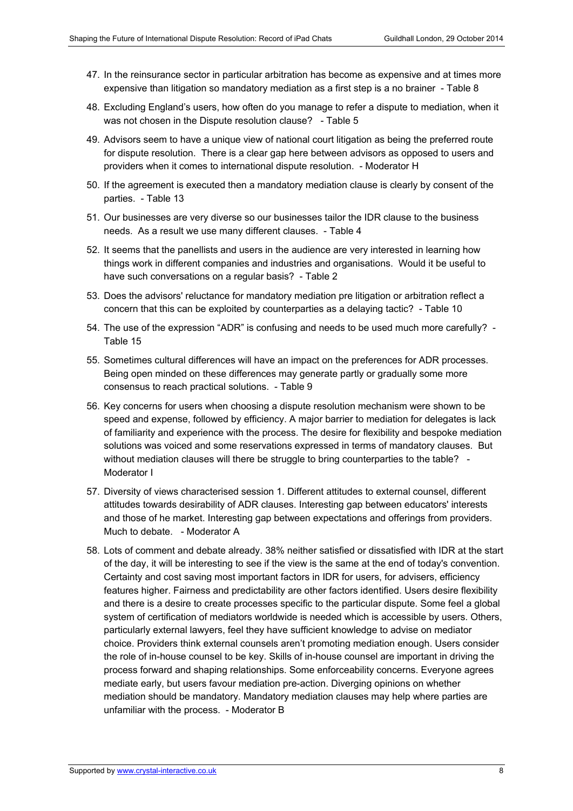- 47. In the reinsurance sector in particular arbitration has become as expensive and at times more expensive than litigation so mandatory mediation as a first step is a no brainer - Table 8
- 48. Excluding England's users, how often do you manage to refer a dispute to mediation, when it was not chosen in the Dispute resolution clause? - Table 5
- 49. Advisors seem to have a unique view of national court litigation as being the preferred route for dispute resolution. There is a clear gap here between advisors as opposed to users and providers when it comes to international dispute resolution. - Moderator H
- 50. If the agreement is executed then a mandatory mediation clause is clearly by consent of the parties. - Table 13
- 51. Our businesses are very diverse so our businesses tailor the IDR clause to the business needs. As a result we use many different clauses. - Table 4
- 52. It seems that the panellists and users in the audience are very interested in learning how things work in different companies and industries and organisations. Would it be useful to have such conversations on a regular basis? - Table 2
- 53. Does the advisors' reluctance for mandatory mediation pre litigation or arbitration reflect a concern that this can be exploited by counterparties as a delaying tactic? - Table 10
- 54. The use of the expression "ADR" is confusing and needs to be used much more carefully? Table 15
- 55. Sometimes cultural differences will have an impact on the preferences for ADR processes. Being open minded on these differences may generate partly or gradually some more consensus to reach practical solutions. - Table 9
- 56. Key concerns for users when choosing a dispute resolution mechanism were shown to be speed and expense, followed by efficiency. A major barrier to mediation for delegates is lack of familiarity and experience with the process. The desire for flexibility and bespoke mediation solutions was voiced and some reservations expressed in terms of mandatory clauses. But without mediation clauses will there be struggle to bring counterparties to the table? -Moderator I
- 57. Diversity of views characterised session 1. Different attitudes to external counsel, different attitudes towards desirability of ADR clauses. Interesting gap between educators' interests and those of he market. Interesting gap between expectations and offerings from providers. Much to debate. - Moderator A
- 58. Lots of comment and debate already. 38% neither satisfied or dissatisfied with IDR at the start of the day, it will be interesting to see if the view is the same at the end of today's convention. Certainty and cost saving most important factors in IDR for users, for advisers, efficiency features higher. Fairness and predictability are other factors identified. Users desire flexibility and there is a desire to create processes specific to the particular dispute. Some feel a global system of certification of mediators worldwide is needed which is accessible by users. Others, particularly external lawyers, feel they have sufficient knowledge to advise on mediator choice. Providers think external counsels aren't promoting mediation enough. Users consider the role of in-house counsel to be key. Skills of in-house counsel are important in driving the process forward and shaping relationships. Some enforceability concerns. Everyone agrees mediate early, but users favour mediation pre-action. Diverging opinions on whether mediation should be mandatory. Mandatory mediation clauses may help where parties are unfamiliar with the process. - Moderator B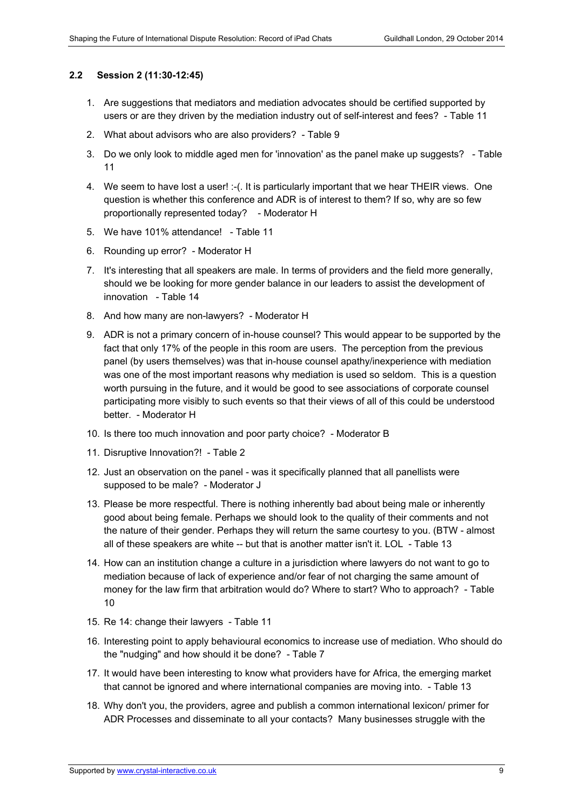#### **2.2 Session 2 (11:30-12:45)**

- 1. Are suggestions that mediators and mediation advocates should be certified supported by users or are they driven by the mediation industry out of self-interest and fees? - Table 11
- 2. What about advisors who are also providers? Table 9
- 3. Do we only look to middle aged men for 'innovation' as the panel make up suggests? Table 11
- 4. We seem to have lost a user! :-(. It is particularly important that we hear THEIR views. One question is whether this conference and ADR is of interest to them? If so, why are so few proportionally represented today? - Moderator H
- 5. We have 101% attendance! Table 11
- 6. Rounding up error? Moderator H
- 7. It's interesting that all speakers are male. In terms of providers and the field more generally, should we be looking for more gender balance in our leaders to assist the development of innovation - Table 14
- 8. And how many are non-lawyers? Moderator H
- 9. ADR is not a primary concern of in-house counsel? This would appear to be supported by the fact that only 17% of the people in this room are users. The perception from the previous panel (by users themselves) was that in-house counsel apathy/inexperience with mediation was one of the most important reasons why mediation is used so seldom. This is a question worth pursuing in the future, and it would be good to see associations of corporate counsel participating more visibly to such events so that their views of all of this could be understood better. - Moderator H
- 10. Is there too much innovation and poor party choice? Moderator B
- 11. Disruptive Innovation?! Table 2
- 12. Just an observation on the panel was it specifically planned that all panellists were supposed to be male? - Moderator J
- 13. Please be more respectful. There is nothing inherently bad about being male or inherently good about being female. Perhaps we should look to the quality of their comments and not the nature of their gender. Perhaps they will return the same courtesy to you. (BTW - almost all of these speakers are white -- but that is another matter isn't it. LOL - Table 13
- 14. How can an institution change a culture in a jurisdiction where lawyers do not want to go to mediation because of lack of experience and/or fear of not charging the same amount of money for the law firm that arbitration would do? Where to start? Who to approach? - Table 10
- 15. Re 14: change their lawyers Table 11
- 16. Interesting point to apply behavioural economics to increase use of mediation. Who should do the "nudging" and how should it be done? - Table 7
- 17. It would have been interesting to know what providers have for Africa, the emerging market that cannot be ignored and where international companies are moving into. - Table 13
- 18. Why don't you, the providers, agree and publish a common international lexicon/ primer for ADR Processes and disseminate to all your contacts? Many businesses struggle with the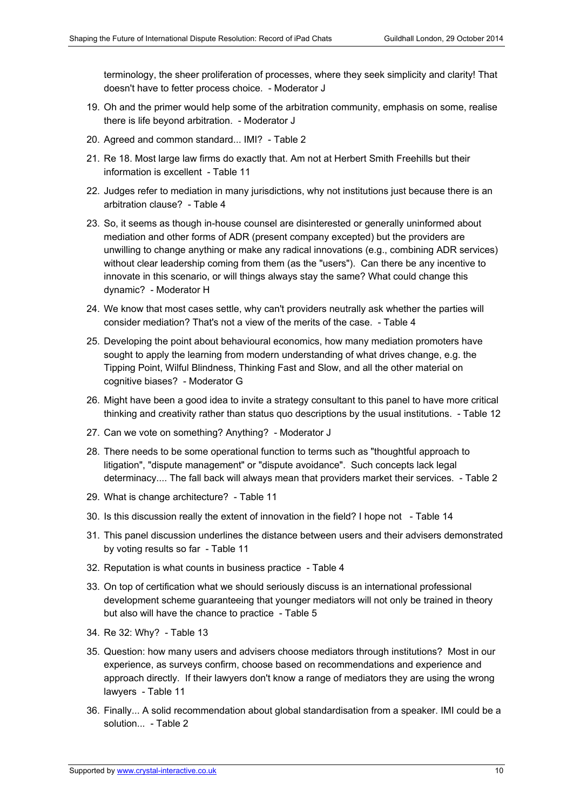terminology, the sheer proliferation of processes, where they seek simplicity and clarity! That doesn't have to fetter process choice. - Moderator J

- 19. Oh and the primer would help some of the arbitration community, emphasis on some, realise there is life beyond arbitration. - Moderator J
- 20. Agreed and common standard... IMI? Table 2
- 21. Re 18. Most large law firms do exactly that. Am not at Herbert Smith Freehills but their information is excellent - Table 11
- 22. Judges refer to mediation in many jurisdictions, why not institutions just because there is an arbitration clause? - Table 4
- 23. So, it seems as though in-house counsel are disinterested or generally uninformed about mediation and other forms of ADR (present company excepted) but the providers are unwilling to change anything or make any radical innovations (e.g., combining ADR services) without clear leadership coming from them (as the "users"). Can there be any incentive to innovate in this scenario, or will things always stay the same? What could change this dynamic? - Moderator H
- 24. We know that most cases settle, why can't providers neutrally ask whether the parties will consider mediation? That's not a view of the merits of the case. - Table 4
- 25. Developing the point about behavioural economics, how many mediation promoters have sought to apply the learning from modern understanding of what drives change, e.g. the Tipping Point, Wilful Blindness, Thinking Fast and Slow, and all the other material on cognitive biases? - Moderator G
- 26. Might have been a good idea to invite a strategy consultant to this panel to have more critical thinking and creativity rather than status quo descriptions by the usual institutions. - Table 12
- 27. Can we vote on something? Anything? Moderator J
- 28. There needs to be some operational function to terms such as "thoughtful approach to litigation", "dispute management" or "dispute avoidance". Such concepts lack legal determinacy.... The fall back will always mean that providers market their services. - Table 2
- 29. What is change architecture? Table 11
- 30. Is this discussion really the extent of innovation in the field? I hope not Table 14
- 31. This panel discussion underlines the distance between users and their advisers demonstrated by voting results so far - Table 11
- 32. Reputation is what counts in business practice Table 4
- 33. On top of certification what we should seriously discuss is an international professional development scheme guaranteeing that younger mediators will not only be trained in theory but also will have the chance to practice - Table 5
- 34. Re 32: Why? Table 13
- 35. Question: how many users and advisers choose mediators through institutions? Most in our experience, as surveys confirm, choose based on recommendations and experience and approach directly. If their lawyers don't know a range of mediators they are using the wrong lawyers - Table 11
- 36. Finally... A solid recommendation about global standardisation from a speaker. IMI could be a solution... - Table 2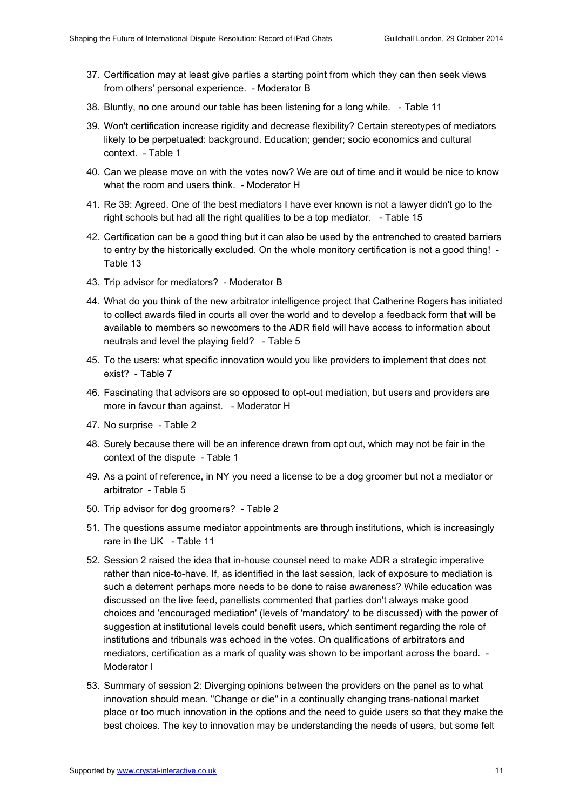- 37. Certification may at least give parties a starting point from which they can then seek views from others' personal experience. - Moderator B
- 38. Bluntly, no one around our table has been listening for a long while. Table 11
- 39. Won't certification increase rigidity and decrease flexibility? Certain stereotypes of mediators likely to be perpetuated: background. Education; gender; socio economics and cultural context. - Table 1
- 40. Can we please move on with the votes now? We are out of time and it would be nice to know what the room and users think. - Moderator H
- 41. Re 39: Agreed. One of the best mediators I have ever known is not a lawyer didn't go to the right schools but had all the right qualities to be a top mediator. - Table 15
- 42. Certification can be a good thing but it can also be used by the entrenched to created barriers to entry by the historically excluded. On the whole monitory certification is not a good thing! - Table 13
- 43. Trip advisor for mediators? Moderator B
- 44. What do you think of the new arbitrator intelligence project that Catherine Rogers has initiated to collect awards filed in courts all over the world and to develop a feedback form that will be available to members so newcomers to the ADR field will have access to information about neutrals and level the playing field? - Table 5
- 45. To the users: what specific innovation would you like providers to implement that does not exist? - Table 7
- 46. Fascinating that advisors are so opposed to opt-out mediation, but users and providers are more in favour than against. - Moderator H
- 47. No surprise Table 2
- 48. Surely because there will be an inference drawn from opt out, which may not be fair in the context of the dispute - Table 1
- 49. As a point of reference, in NY you need a license to be a dog groomer but not a mediator or arbitrator - Table 5
- 50. Trip advisor for dog groomers? Table 2
- 51. The questions assume mediator appointments are through institutions, which is increasingly rare in the UK - Table 11
- 52. Session 2 raised the idea that in-house counsel need to make ADR a strategic imperative rather than nice-to-have. If, as identified in the last session, lack of exposure to mediation is such a deterrent perhaps more needs to be done to raise awareness? While education was discussed on the live feed, panellists commented that parties don't always make good choices and 'encouraged mediation' (levels of 'mandatory' to be discussed) with the power of suggestion at institutional levels could benefit users, which sentiment regarding the role of institutions and tribunals was echoed in the votes. On qualifications of arbitrators and mediators, certification as a mark of quality was shown to be important across the board. - Moderator I
- 53. Summary of session 2: Diverging opinions between the providers on the panel as to what innovation should mean. "Change or die" in a continually changing trans-national market place or too much innovation in the options and the need to guide users so that they make the best choices. The key to innovation may be understanding the needs of users, but some felt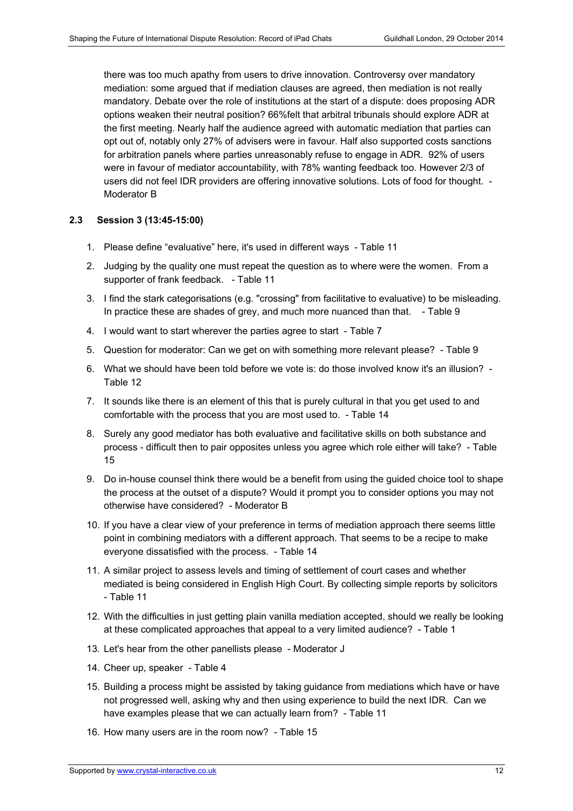there was too much apathy from users to drive innovation. Controversy over mandatory mediation: some argued that if mediation clauses are agreed, then mediation is not really mandatory. Debate over the role of institutions at the start of a dispute: does proposing ADR options weaken their neutral position? 66%felt that arbitral tribunals should explore ADR at the first meeting. Nearly half the audience agreed with automatic mediation that parties can opt out of, notably only 27% of advisers were in favour. Half also supported costs sanctions for arbitration panels where parties unreasonably refuse to engage in ADR. 92% of users were in favour of mediator accountability, with 78% wanting feedback too. However 2/3 of users did not feel IDR providers are offering innovative solutions. Lots of food for thought. - Moderator B

#### **2.3 Session 3 (13:45-15:00)**

- 1. Please define "evaluative" here, it's used in different ways Table 11
- 2. Judging by the quality one must repeat the question as to where were the women. From a supporter of frank feedback. - Table 11
- 3. I find the stark categorisations (e.g. "crossing" from facilitative to evaluative) to be misleading. In practice these are shades of grey, and much more nuanced than that. - Table 9
- 4. I would want to start wherever the parties agree to start Table 7
- 5. Question for moderator: Can we get on with something more relevant please? Table 9
- 6. What we should have been told before we vote is: do those involved know it's an illusion? Table 12
- 7. It sounds like there is an element of this that is purely cultural in that you get used to and comfortable with the process that you are most used to. - Table 14
- 8. Surely any good mediator has both evaluative and facilitative skills on both substance and process - difficult then to pair opposites unless you agree which role either will take? - Table 15
- 9. Do in-house counsel think there would be a benefit from using the guided choice tool to shape the process at the outset of a dispute? Would it prompt you to consider options you may not otherwise have considered? - Moderator B
- 10. If you have a clear view of your preference in terms of mediation approach there seems little point in combining mediators with a different approach. That seems to be a recipe to make everyone dissatisfied with the process. - Table 14
- 11. A similar project to assess levels and timing of settlement of court cases and whether mediated is being considered in English High Court. By collecting simple reports by solicitors - Table 11
- 12. With the difficulties in just getting plain vanilla mediation accepted, should we really be looking at these complicated approaches that appeal to a very limited audience? - Table 1
- 13. Let's hear from the other panellists please Moderator J
- 14. Cheer up, speaker Table 4
- 15. Building a process might be assisted by taking guidance from mediations which have or have not progressed well, asking why and then using experience to build the next IDR. Can we have examples please that we can actually learn from? - Table 11
- 16. How many users are in the room now? Table 15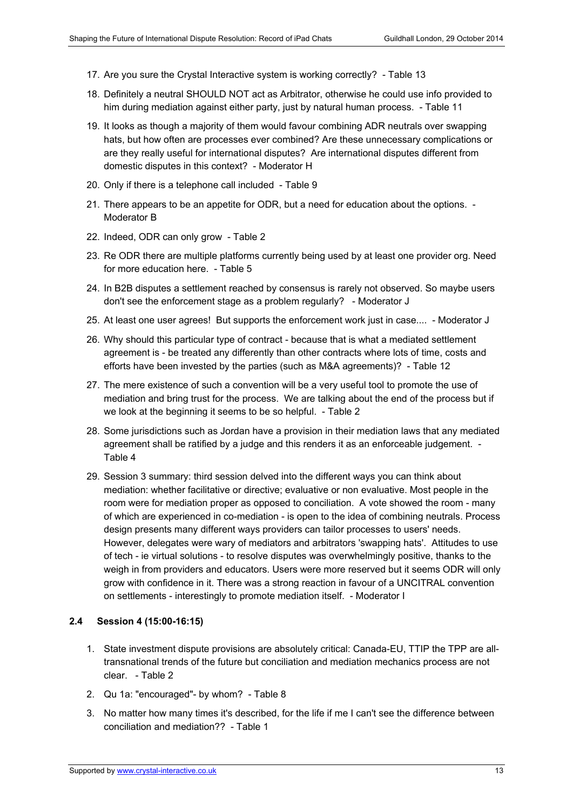- 17. Are you sure the Crystal Interactive system is working correctly? Table 13
- 18. Definitely a neutral SHOULD NOT act as Arbitrator, otherwise he could use info provided to him during mediation against either party, just by natural human process. - Table 11
- 19. It looks as though a majority of them would favour combining ADR neutrals over swapping hats, but how often are processes ever combined? Are these unnecessary complications or are they really useful for international disputes? Are international disputes different from domestic disputes in this context? - Moderator H
- 20. Only if there is a telephone call included Table 9
- 21. There appears to be an appetite for ODR, but a need for education about the options. Moderator B
- 22. Indeed, ODR can only grow Table 2
- 23. Re ODR there are multiple platforms currently being used by at least one provider org. Need for more education here. - Table 5
- 24. In B2B disputes a settlement reached by consensus is rarely not observed. So maybe users don't see the enforcement stage as a problem regularly? - Moderator J
- 25. At least one user agrees! But supports the enforcement work just in case.... Moderator J
- 26. Why should this particular type of contract because that is what a mediated settlement agreement is - be treated any differently than other contracts where lots of time, costs and efforts have been invested by the parties (such as M&A agreements)? - Table 12
- 27. The mere existence of such a convention will be a very useful tool to promote the use of mediation and bring trust for the process. We are talking about the end of the process but if we look at the beginning it seems to be so helpful. - Table 2
- 28. Some jurisdictions such as Jordan have a provision in their mediation laws that any mediated agreement shall be ratified by a judge and this renders it as an enforceable judgement. - Table 4
- 29. Session 3 summary: third session delved into the different ways you can think about mediation: whether facilitative or directive; evaluative or non evaluative. Most people in the room were for mediation proper as opposed to conciliation. A vote showed the room - many of which are experienced in co-mediation - is open to the idea of combining neutrals. Process design presents many different ways providers can tailor processes to users' needs. However, delegates were wary of mediators and arbitrators 'swapping hats'. Attitudes to use of tech - ie virtual solutions - to resolve disputes was overwhelmingly positive, thanks to the weigh in from providers and educators. Users were more reserved but it seems ODR will only grow with confidence in it. There was a strong reaction in favour of a UNCITRAL convention on settlements - interestingly to promote mediation itself. - Moderator I

#### **2.4 Session 4 (15:00-16:15)**

- 1. State investment dispute provisions are absolutely critical: Canada-EU, TTIP the TPP are alltransnational trends of the future but conciliation and mediation mechanics process are not clear. - Table 2
- 2. Qu 1a: "encouraged"- by whom? Table 8
- 3. No matter how many times it's described, for the life if me I can't see the difference between conciliation and mediation?? - Table 1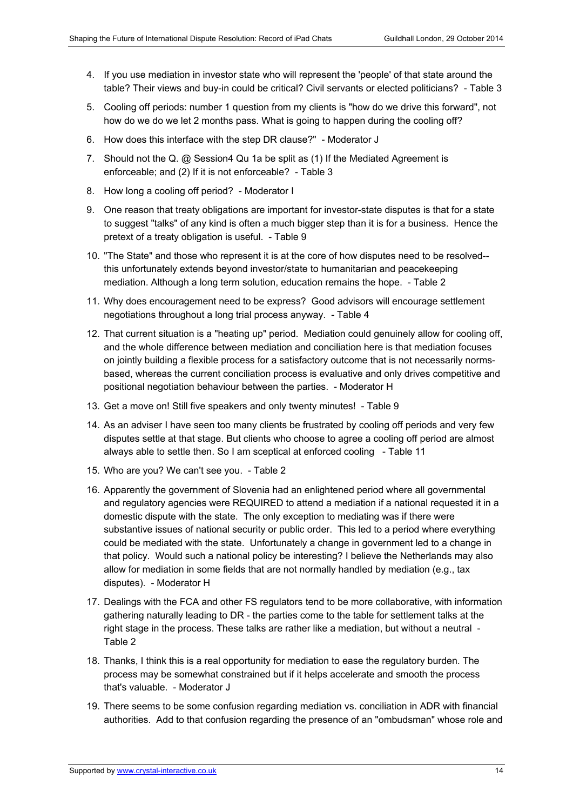- 4. If you use mediation in investor state who will represent the 'people' of that state around the table? Their views and buy-in could be critical? Civil servants or elected politicians? - Table 3
- 5. Cooling off periods: number 1 question from my clients is "how do we drive this forward", not how do we do we let 2 months pass. What is going to happen during the cooling off?
- 6. How does this interface with the step DR clause?" Moderator J
- 7. Should not the Q. @ Session4 Qu 1a be split as (1) If the Mediated Agreement is enforceable; and (2) If it is not enforceable? - Table 3
- 8. How long a cooling off period? Moderator I
- 9. One reason that treaty obligations are important for investor-state disputes is that for a state to suggest "talks" of any kind is often a much bigger step than it is for a business. Hence the pretext of a treaty obligation is useful. - Table 9
- 10. "The State" and those who represent it is at the core of how disputes need to be resolved- this unfortunately extends beyond investor/state to humanitarian and peacekeeping mediation. Although a long term solution, education remains the hope. - Table 2
- 11. Why does encouragement need to be express? Good advisors will encourage settlement negotiations throughout a long trial process anyway. - Table 4
- 12. That current situation is a "heating up" period. Mediation could genuinely allow for cooling off, and the whole difference between mediation and conciliation here is that mediation focuses on jointly building a flexible process for a satisfactory outcome that is not necessarily normsbased, whereas the current conciliation process is evaluative and only drives competitive and positional negotiation behaviour between the parties. - Moderator H
- 13. Get a move on! Still five speakers and only twenty minutes! Table 9
- 14. As an adviser I have seen too many clients be frustrated by cooling off periods and very few disputes settle at that stage. But clients who choose to agree a cooling off period are almost always able to settle then. So I am sceptical at enforced cooling - Table 11
- 15. Who are you? We can't see you. Table 2
- 16. Apparently the government of Slovenia had an enlightened period where all governmental and regulatory agencies were REQUIRED to attend a mediation if a national requested it in a domestic dispute with the state. The only exception to mediating was if there were substantive issues of national security or public order. This led to a period where everything could be mediated with the state. Unfortunately a change in government led to a change in that policy. Would such a national policy be interesting? I believe the Netherlands may also allow for mediation in some fields that are not normally handled by mediation (e.g., tax disputes). - Moderator H
- 17. Dealings with the FCA and other FS regulators tend to be more collaborative, with information gathering naturally leading to DR - the parties come to the table for settlement talks at the right stage in the process. These talks are rather like a mediation, but without a neutral - Table 2
- 18. Thanks, I think this is a real opportunity for mediation to ease the regulatory burden. The process may be somewhat constrained but if it helps accelerate and smooth the process that's valuable. - Moderator J
- 19. There seems to be some confusion regarding mediation vs. conciliation in ADR with financial authorities. Add to that confusion regarding the presence of an "ombudsman" whose role and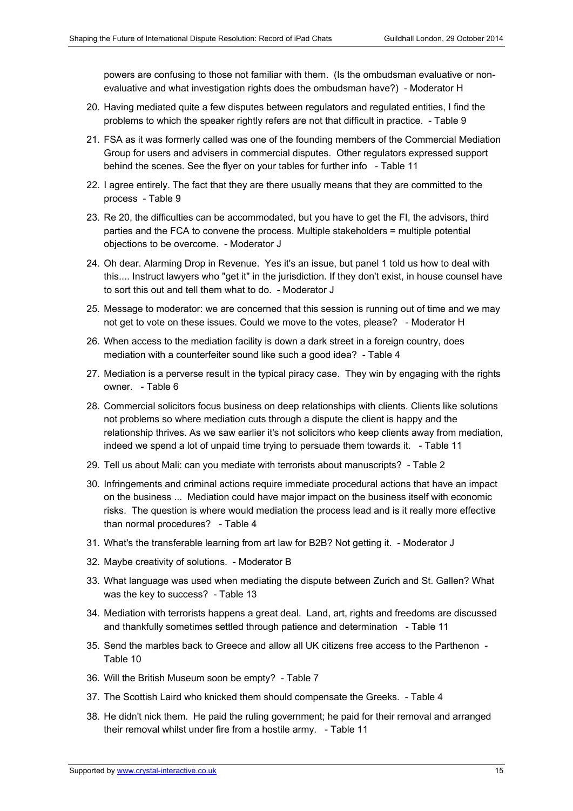powers are confusing to those not familiar with them. (Is the ombudsman evaluative or nonevaluative and what investigation rights does the ombudsman have?) - Moderator H

- 20. Having mediated quite a few disputes between regulators and regulated entities, I find the problems to which the speaker rightly refers are not that difficult in practice. - Table 9
- 21. FSA as it was formerly called was one of the founding members of the Commercial Mediation Group for users and advisers in commercial disputes. Other regulators expressed support behind the scenes. See the flyer on your tables for further info - Table 11
- 22. I agree entirely. The fact that they are there usually means that they are committed to the process - Table 9
- 23. Re 20, the difficulties can be accommodated, but you have to get the FI, the advisors, third parties and the FCA to convene the process. Multiple stakeholders = multiple potential objections to be overcome. - Moderator J
- 24. Oh dear. Alarming Drop in Revenue. Yes it's an issue, but panel 1 told us how to deal with this.... Instruct lawyers who "get it" in the jurisdiction. If they don't exist, in house counsel have to sort this out and tell them what to do. - Moderator J
- 25. Message to moderator: we are concerned that this session is running out of time and we may not get to vote on these issues. Could we move to the votes, please? - Moderator H
- 26. When access to the mediation facility is down a dark street in a foreign country, does mediation with a counterfeiter sound like such a good idea? - Table 4
- 27. Mediation is a perverse result in the typical piracy case. They win by engaging with the rights owner. - Table 6
- 28. Commercial solicitors focus business on deep relationships with clients. Clients like solutions not problems so where mediation cuts through a dispute the client is happy and the relationship thrives. As we saw earlier it's not solicitors who keep clients away from mediation, indeed we spend a lot of unpaid time trying to persuade them towards it. - Table 11
- 29. Tell us about Mali: can you mediate with terrorists about manuscripts? Table 2
- 30. Infringements and criminal actions require immediate procedural actions that have an impact on the business ... Mediation could have major impact on the business itself with economic risks. The question is where would mediation the process lead and is it really more effective than normal procedures? - Table 4
- 31. What's the transferable learning from art law for B2B? Not getting it. Moderator J
- 32. Maybe creativity of solutions. Moderator B
- 33. What language was used when mediating the dispute between Zurich and St. Gallen? What was the key to success? - Table 13
- 34. Mediation with terrorists happens a great deal. Land, art, rights and freedoms are discussed and thankfully sometimes settled through patience and determination - Table 11
- 35. Send the marbles back to Greece and allow all UK citizens free access to the Parthenon Table 10
- 36. Will the British Museum soon be empty? Table 7
- 37. The Scottish Laird who knicked them should compensate the Greeks. Table 4
- 38. He didn't nick them. He paid the ruling government; he paid for their removal and arranged their removal whilst under fire from a hostile army. - Table 11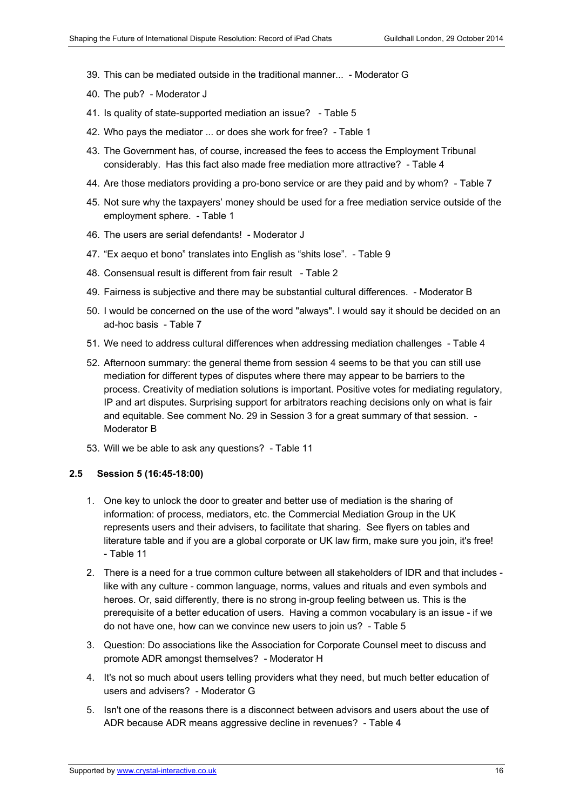- 39. This can be mediated outside in the traditional manner... Moderator G
- 40. The pub? Moderator J
- 41. Is quality of state-supported mediation an issue? Table 5
- 42. Who pays the mediator ... or does she work for free? Table 1
- 43. The Government has, of course, increased the fees to access the Employment Tribunal considerably. Has this fact also made free mediation more attractive? - Table 4
- 44. Are those mediators providing a pro-bono service or are they paid and by whom? Table 7
- 45. Not sure why the taxpayers' money should be used for a free mediation service outside of the employment sphere. - Table 1
- 46. The users are serial defendants! Moderator J
- 47. "Ex aequo et bono" translates into English as "shits lose". Table 9
- 48. Consensual result is different from fair result Table 2
- 49. Fairness is subjective and there may be substantial cultural differences. Moderator B
- 50. I would be concerned on the use of the word "always". I would say it should be decided on an ad-hoc basis - Table 7
- 51. We need to address cultural differences when addressing mediation challenges Table 4
- 52. Afternoon summary: the general theme from session 4 seems to be that you can still use mediation for different types of disputes where there may appear to be barriers to the process. Creativity of mediation solutions is important. Positive votes for mediating regulatory, IP and art disputes. Surprising support for arbitrators reaching decisions only on what is fair and equitable. See comment No. 29 in Session 3 for a great summary of that session. - Moderator B
- 53. Will we be able to ask any questions? Table 11

#### **2.5 Session 5 (16:45-18:00)**

- 1. One key to unlock the door to greater and better use of mediation is the sharing of information: of process, mediators, etc. the Commercial Mediation Group in the UK represents users and their advisers, to facilitate that sharing. See flyers on tables and literature table and if you are a global corporate or UK law firm, make sure you join, it's free! - Table 11
- 2. There is a need for a true common culture between all stakeholders of IDR and that includes like with any culture - common language, norms, values and rituals and even symbols and heroes. Or, said differently, there is no strong in-group feeling between us. This is the prerequisite of a better education of users. Having a common vocabulary is an issue - if we do not have one, how can we convince new users to join us? - Table 5
- 3. Question: Do associations like the Association for Corporate Counsel meet to discuss and promote ADR amongst themselves? - Moderator H
- 4. It's not so much about users telling providers what they need, but much better education of users and advisers? - Moderator G
- 5. Isn't one of the reasons there is a disconnect between advisors and users about the use of ADR because ADR means aggressive decline in revenues? - Table 4